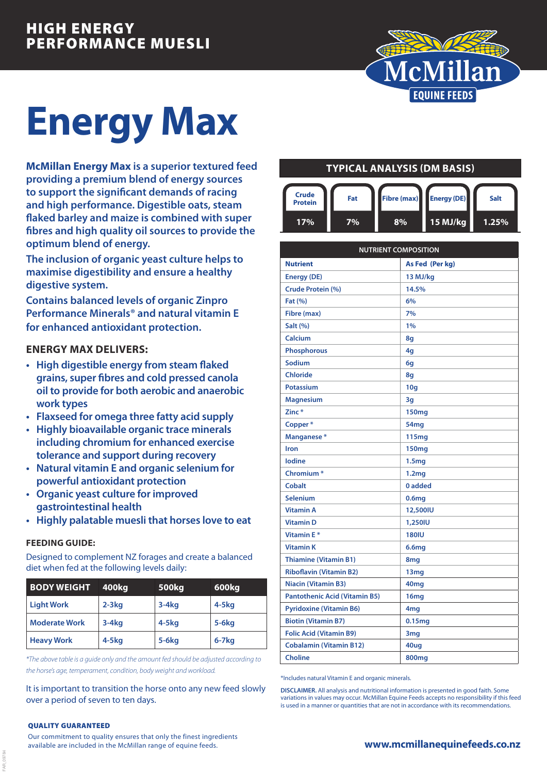

# **Energy Max**

**McMillan Energy Max is a superior textured feed providing a premium blend of energy sources to support the significant demands of racing and high performance. Digestible oats, steam flaked barley and maize is combined with super fibres and high quality oil sources to provide the optimum blend of energy.** 

**The inclusion of organic yeast culture helps to maximise digestibility and ensure a healthy digestive system.** 

**Contains balanced levels of organic Zinpro Performance Minerals® and natural vitamin E for enhanced antioxidant protection.**

## **ENERGY MAX DELIVERS:**

- **• High digestible energy from steam flaked grains, super fibres and cold pressed canola oil to provide for both aerobic and anaerobic work types**
- **• Flaxseed for omega three fatty acid supply**
- **• Highly bioavailable organic trace minerals including chromium for enhanced exercise tolerance and support during recovery**
- **• Natural vitamin E and organic selenium for powerful antioxidant protection**
- **• Organic yeast culture for improved gastrointestinal health**

**• Highly palatable muesli that horses love to eat**

### **FEEDING GUIDE:**

Designed to complement NZ forages and create a balanced diet when fed at the following levels daily:

| <b>BODY WEIGHT</b>   | 400kg   | 500 <sub>kg</sub> | 600kg        |
|----------------------|---------|-------------------|--------------|
| <b>Light Work</b>    | $2-3kq$ | $3-4kq$           | $4-5kq$      |
| <b>Moderate Work</b> | $3-4kg$ | $4-5kg$           | $5-6kg$      |
| <b>Heavy Work</b>    | $4-5kg$ | $5-6kg$           | $6 - 7$ $kg$ |

*\*The above table is a guide only and the amount fed should be adjusted according to the horse's age, temperament, condition, body weight and workload.*

It is important to transition the horse onto any new feed slowly over a period of seven to ten days.

#### QUALITY GUARANTEED

FAR\_09784

Our commitment to quality ensures that only the finest ingredients available are included in the McMillan range of equine feeds.

## **TYPICAL ANALYSIS (DM BASIS)**



| <b>NUTRIENT COMPOSITION</b>          |                   |  |
|--------------------------------------|-------------------|--|
| <b>Nutrient</b>                      | As Fed (Per kg)   |  |
| <b>Energy (DE)</b>                   | 13 MJ/kg          |  |
| <b>Crude Protein (%)</b>             | 14.5%             |  |
| Fat (%)                              | 6%                |  |
| Fibre (max)                          | 7%                |  |
| <b>Salt (%)</b>                      | 1%                |  |
| Calcium                              | 8g                |  |
| <b>Phosphorous</b>                   | 4g                |  |
| Sodium                               | 6g                |  |
| <b>Chloride</b>                      | 8q                |  |
| <b>Potassium</b>                     | 10q               |  |
| <b>Magnesium</b>                     | 3g                |  |
| Zinc*                                | 150 <sub>mg</sub> |  |
| Copper*                              | 54 <sub>mg</sub>  |  |
| Manganese*                           | 115 <sub>mg</sub> |  |
| Iron                                 | 150 <sub>mg</sub> |  |
| lodine                               | 1.5 <sub>mg</sub> |  |
| Chromium <sup>*</sup>                | 1.2mg             |  |
| <b>Cobalt</b>                        | 0 added           |  |
| <b>Selenium</b>                      | 0.6 <sub>mg</sub> |  |
| <b>Vitamin A</b>                     | 12,500IU          |  |
| <b>Vitamin D</b>                     | 1,250IU           |  |
| Vitamin E*                           | <b>180IU</b>      |  |
| <b>Vitamin K</b>                     | 6.6mg             |  |
| <b>Thiamine (Vitamin B1)</b>         | 8 <sub>mg</sub>   |  |
| <b>Riboflavin (Vitamin B2)</b>       | 13 <sub>mg</sub>  |  |
| <b>Niacin (Vitamin B3)</b>           | 40 <sub>mg</sub>  |  |
| <b>Pantothenic Acid (Vitamin B5)</b> | 16mg              |  |
| <b>Pyridoxine (Vitamin B6)</b>       | 4 <sub>mg</sub>   |  |
| <b>Biotin (Vitamin B7)</b>           | 0.15mg            |  |
| <b>Folic Acid (Vitamin B9)</b>       | 3 <sub>mg</sub>   |  |
| <b>Cobalamin (Vitamin B12)</b>       | 40ug              |  |
| <b>Choline</b>                       | 800mg             |  |

\*Includes natural Vitamin E and organic minerals.

**DISCLAIMER.** All analysis and nutritional information is presented in good faith. Some variations in values may occur. McMillan Equine Feeds accepts no responsibility if this feed is used in a manner or quantities that are not in accordance with its recommendations.

### **www.mcmillanequinefeeds.co.nz**